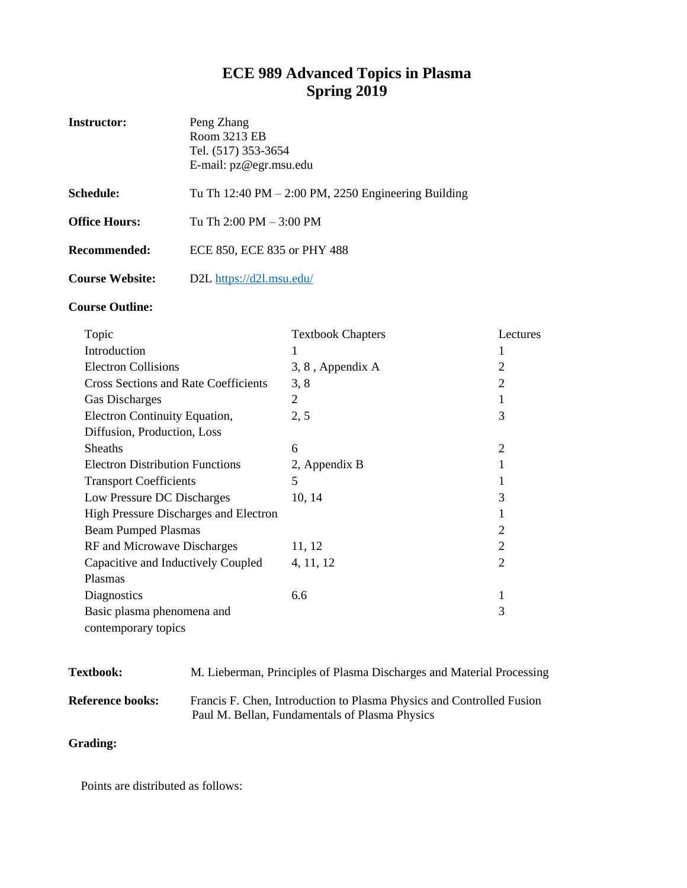## **ECE 989 Advanced Topics in Plasma Spring 2019**

| <b>Instructor:</b>     | Peng Zhang<br>Room 3213 EB<br>Tel. (517) 353-3654<br>E-mail: pz@egr.msu.edu |  |
|------------------------|-----------------------------------------------------------------------------|--|
| <b>Schedule:</b>       | Tu Th $12:40 \text{ PM} - 2:00 \text{ PM}$ , 2250 Engineering Building      |  |
| <b>Office Hours:</b>   | Tu Th $2:00$ PM $-3:00$ PM                                                  |  |
| Recommended:           | ECE 850, ECE 835 or PHY 488                                                 |  |
| <b>Course Website:</b> | D2L https://d2l.msu.edu/                                                    |  |

#### **Course Outline:**

| <b>Textbook Chapters</b> | Lectures       |
|--------------------------|----------------|
| 1                        |                |
| 3, 8, Appendix A         | 2              |
| 3, 8                     | $\overline{2}$ |
| $\overline{2}$           | 1              |
| 2, 5                     | 3              |
|                          |                |
| 6                        | $\overline{2}$ |
| 2, Appendix B            | 1              |
| 5                        | 1              |
| 10, 14                   | 3              |
|                          |                |
|                          | $\overline{2}$ |
| 11, 12                   | $\overline{2}$ |
| 4, 11, 12                | $\overline{2}$ |
|                          |                |
| 6.6                      | 1              |
|                          | 3              |
|                          |                |
|                          |                |

| <b>Textbook:</b>        | M. Lieberman, Principles of Plasma Discharges and Material Processing |
|-------------------------|-----------------------------------------------------------------------|
| <b>Reference books:</b> | Francis F. Chen, Introduction to Plasma Physics and Controlled Fusion |
|                         | Paul M. Bellan, Fundamentals of Plasma Physics                        |

## **Grading:**

Points are distributed as follows: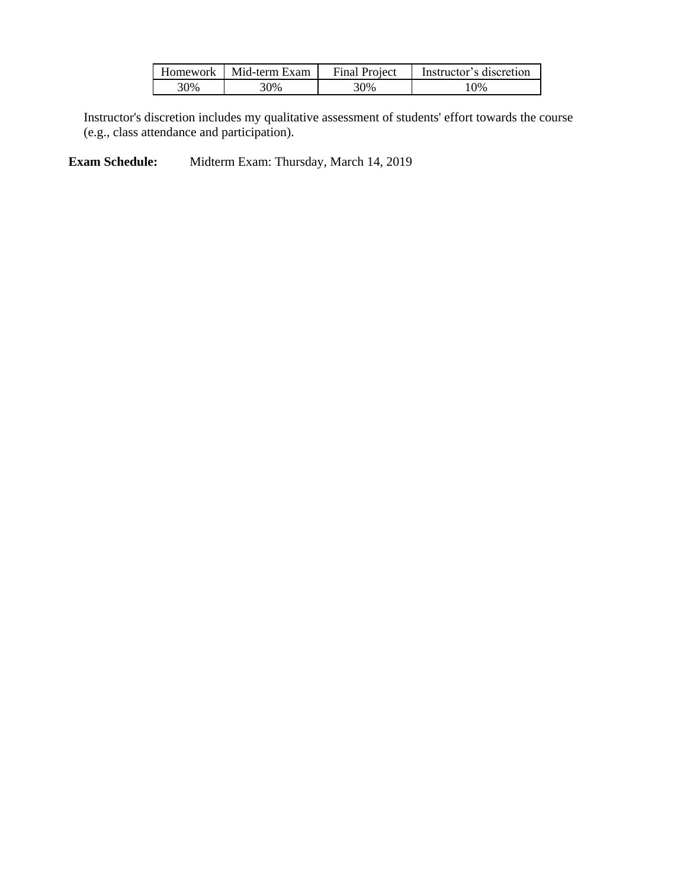| Homework | Mid-term Exam | <b>Final Project</b> | Instructor's discretion |
|----------|---------------|----------------------|-------------------------|
| 30%      | 30%           | 30%                  | 10%                     |

Instructor's discretion includes my qualitative assessment of students' effort towards the course (e.g., class attendance and participation).

**Exam Schedule:** Midterm Exam: Thursday, March 14, 2019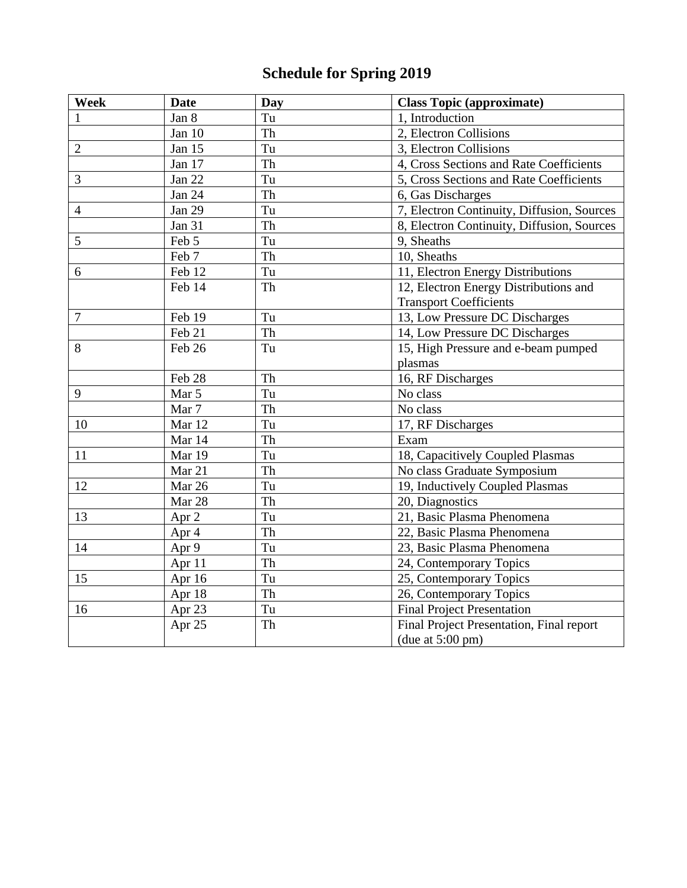# **Schedule for Spring 2019**

| Week           | <b>Date</b>   | <b>Day</b>          | <b>Class Topic (approximate)</b>           |
|----------------|---------------|---------------------|--------------------------------------------|
| 1              | Jan 8         | Tu                  | 1, Introduction                            |
|                | Jan 10        | Th                  | 2, Electron Collisions                     |
| $\sqrt{2}$     | Jan 15        | Tu                  | 3, Electron Collisions                     |
|                | Jan 17        | Th                  | 4, Cross Sections and Rate Coefficients    |
| 3              | Jan 22        | Tu                  | 5, Cross Sections and Rate Coefficients    |
|                | <b>Jan 24</b> | Th                  | 6, Gas Discharges                          |
| $\overline{4}$ | <b>Jan 29</b> | Tu                  | 7, Electron Continuity, Diffusion, Sources |
|                | <b>Jan 31</b> | Th                  | 8, Electron Continuity, Diffusion, Sources |
| 5              | Feb 5         | Tu                  | 9, Sheaths                                 |
|                | Feb 7         | Th                  | 10, Sheaths                                |
| 6              | Feb 12        | Tu                  | 11, Electron Energy Distributions          |
|                | Feb 14        | Th                  | 12, Electron Energy Distributions and      |
|                |               |                     | <b>Transport Coefficients</b>              |
| $\overline{7}$ | Feb 19        | Tu                  | 13, Low Pressure DC Discharges             |
|                | Feb 21        | Th                  | 14, Low Pressure DC Discharges             |
| 8              | Feb 26        | Tu                  | 15, High Pressure and e-beam pumped        |
|                |               |                     | plasmas                                    |
|                | Feb 28        | Th                  | 16, RF Discharges                          |
| 9              | Mar 5         | Tu                  | No class                                   |
|                | Mar 7         | Th                  | No class                                   |
| 10             | Mar 12        | Tu                  | 17, RF Discharges                          |
|                | Mar 14        | Th                  | Exam                                       |
| 11             | Mar 19        | Tu                  | 18, Capacitively Coupled Plasmas           |
|                | Mar 21        | Th                  | No class Graduate Symposium                |
| 12             | Mar 26        | Tu                  | 19, Inductively Coupled Plasmas            |
|                | Mar 28        | Th                  | 20, Diagnostics                            |
| 13             | Apr 2         | Tu                  | 21, Basic Plasma Phenomena                 |
|                | Apr 4         | Th                  | 22, Basic Plasma Phenomena                 |
| 14             | Apr 9         | $\operatorname{Tu}$ | 23, Basic Plasma Phenomena                 |
|                | Apr 11        | Th                  | 24, Contemporary Topics                    |
| 15             | Apr 16        | Tu                  | 25, Contemporary Topics                    |
|                | Apr 18        | Th                  | 26, Contemporary Topics                    |
| 16             | Apr 23        | Tu                  | <b>Final Project Presentation</b>          |
|                | Apr 25        | Th                  | Final Project Presentation, Final report   |
|                |               |                     | (due at $5:00 \text{ pm}$ )                |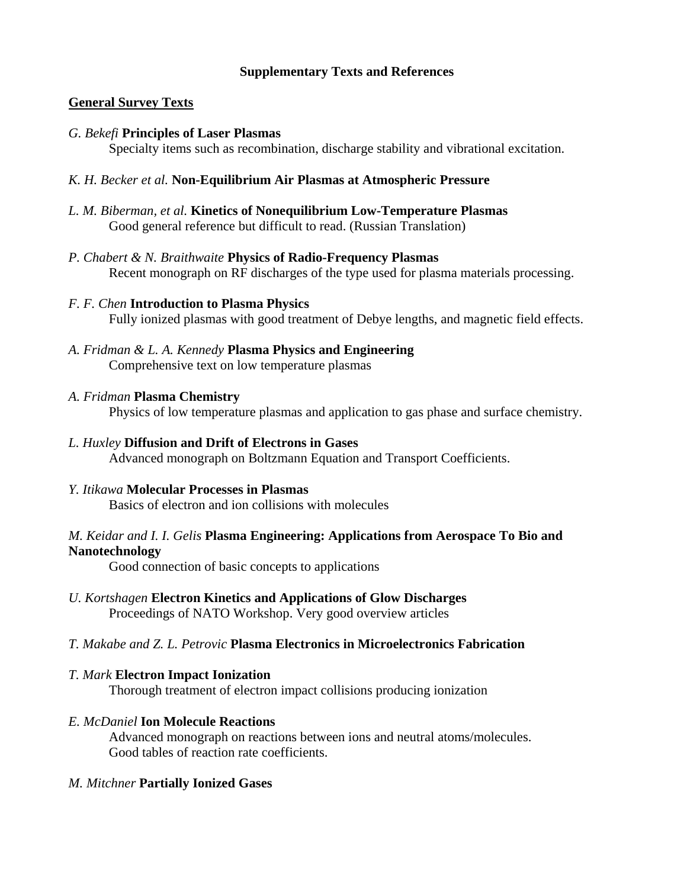## **Supplementary Texts and References**

## **General Survey Texts**

### *G. Bekefi* **Principles of Laser Plasmas**

Specialty items such as recombination, discharge stability and vibrational excitation.

## *K. H. Becker et al.* **Non-Equilibrium Air Plasmas at Atmospheric Pressure**

- *L. M. Biberman, et al.* **Kinetics of Nonequilibrium Low-Temperature Plasmas** Good general reference but difficult to read. (Russian Translation)
- *P. Chabert & N. Braithwaite* **Physics of Radio-Frequency Plasmas** Recent monograph on RF discharges of the type used for plasma materials processing.

## *F. F. Chen* **Introduction to Plasma Physics** Fully ionized plasmas with good treatment of Debye lengths, and magnetic field effects.

*A. Fridman & L. A. Kennedy* **Plasma Physics and Engineering** Comprehensive text on low temperature plasmas

#### *A. Fridman* **Plasma Chemistry**

Physics of low temperature plasmas and application to gas phase and surface chemistry.

### *L. Huxley* **Diffusion and Drift of Electrons in Gases**

Advanced monograph on Boltzmann Equation and Transport Coefficients.

#### *Y. Itikawa* **Molecular Processes in Plasmas**

Basics of electron and ion collisions with molecules

#### *M. Keidar and I. I. Gelis* **Plasma Engineering: Applications from Aerospace To Bio and Nanotechnology**

Good connection of basic concepts to applications

## *U. Kortshagen* **Electron Kinetics and Applications of Glow Discharges**

Proceedings of NATO Workshop. Very good overview articles

## *T. Makabe and Z. L. Petrovic* **Plasma Electronics in Microelectronics Fabrication**

## *T. Mark* **Electron Impact Ionization**

Thorough treatment of electron impact collisions producing ionization

## *E. McDaniel* **Ion Molecule Reactions**

 Advanced monograph on reactions between ions and neutral atoms/molecules. Good tables of reaction rate coefficients.

## *M. Mitchner* **Partially Ionized Gases**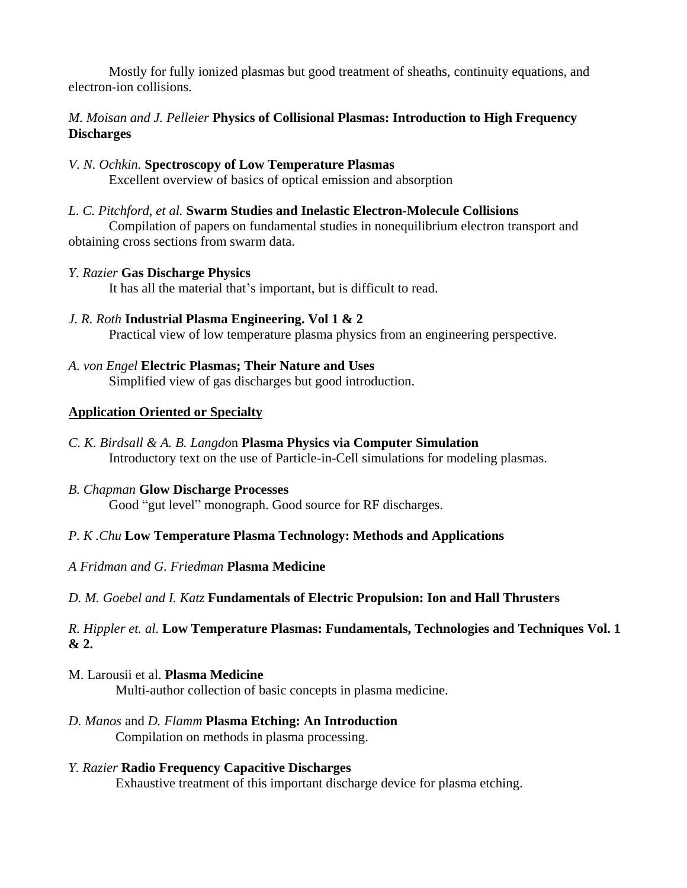Mostly for fully ionized plasmas but good treatment of sheaths, continuity equations, and electron-ion collisions.

## *M. Moisan and J. Pelleier* **Physics of Collisional Plasmas: Introduction to High Frequency Discharges**

# *V. N. Ochkin.* **Spectroscopy of Low Temperature Plasmas**

Excellent overview of basics of optical emission and absorption

### *L. C. Pitchford, et al.* **Swarm Studies and Inelastic Electron-Molecule Collisions**

 Compilation of papers on fundamental studies in nonequilibrium electron transport and obtaining cross sections from swarm data.

#### *Y. Razier* **Gas Discharge Physics**

It has all the material that's important, but is difficult to read.

## *J. R. Roth* **Industrial Plasma Engineering. Vol 1 & 2** Practical view of low temperature plasma physics from an engineering perspective.

*A. von Engel* **Electric Plasmas; Their Nature and Uses** Simplified view of gas discharges but good introduction.

## **Application Oriented or Specialty**

*C. K. Birdsall & A. B. Langdo*n **Plasma Physics via Computer Simulation** Introductory text on the use of Particle-in-Cell simulations for modeling plasmas.

## *B. Chapman* **Glow Discharge Processes** Good "gut level" monograph. Good source for RF discharges.

## *P. K .Chu* **Low Temperature Plasma Technology: Methods and Applications**

## *A Fridman and G. Friedman* **Plasma Medicine**

## *D. M. Goebel and I. Katz* **Fundamentals of Electric Propulsion: Ion and Hall Thrusters**

## *R. Hippler et. al.* **Low Temperature Plasmas: Fundamentals, Technologies and Techniques Vol. 1 & 2.**

## M. Larousii et al. **Plasma Medicine** Multi-author collection of basic concepts in plasma medicine.

*D. Manos* and *D. Flamm* **Plasma Etching: An Introduction** Compilation on methods in plasma processing.

#### *Y. Razier* **Radio Frequency Capacitive Discharges** Exhaustive treatment of this important discharge device for plasma etching.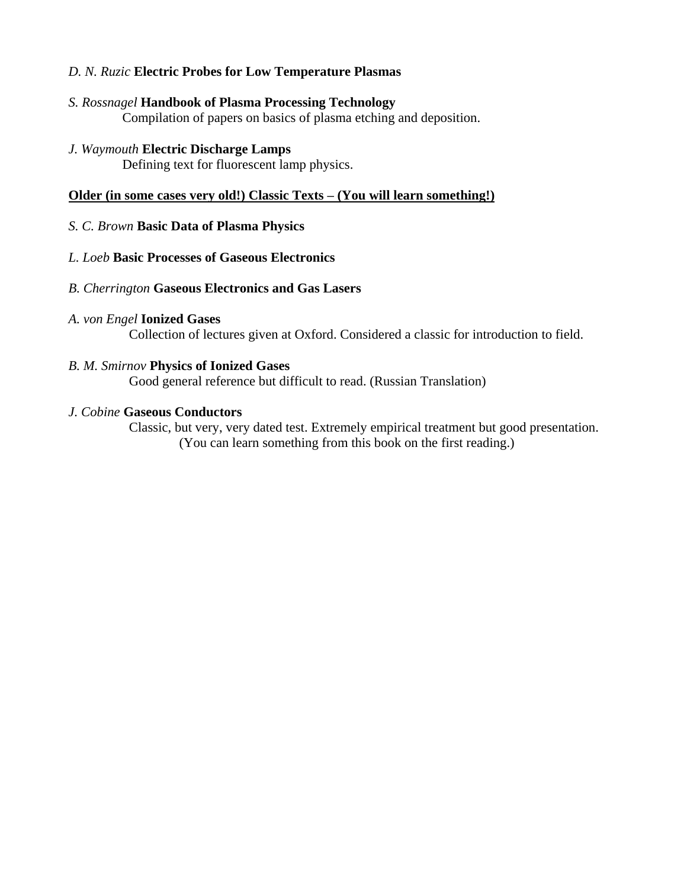## *D. N. Ruzic* **Electric Probes for Low Temperature Plasmas**

#### *S. Rossnagel* **Handbook of Plasma Processing Technology**

Compilation of papers on basics of plasma etching and deposition.

#### *J. Waymouth* **Electric Discharge Lamps**

Defining text for fluorescent lamp physics.

### **Older (in some cases very old!) Classic Texts – (You will learn something!)**

#### *S. C. Brown* **Basic Data of Plasma Physics**

#### *L. Loeb* **Basic Processes of Gaseous Electronics**

#### *B. Cherrington* **Gaseous Electronics and Gas Lasers**

#### *A. von Engel* **Ionized Gases**

Collection of lectures given at Oxford. Considered a classic for introduction to field.

#### *B. M. Smirnov* **Physics of Ionized Gases**

Good general reference but difficult to read. (Russian Translation)

#### *J. Cobine* **Gaseous Conductors**

 Classic, but very, very dated test. Extremely empirical treatment but good presentation. (You can learn something from this book on the first reading.)